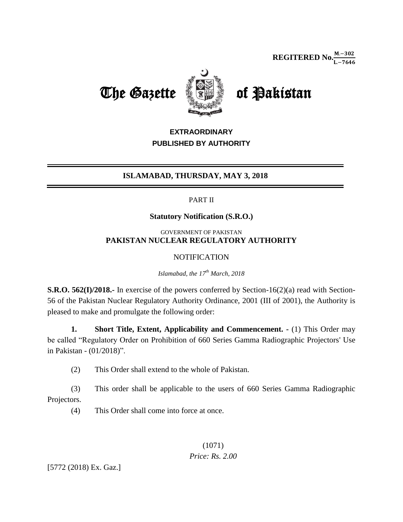The Gazette **of Pakistan** 



# **EXTRAORDINARY PUBLISHED BY AUTHORITY**

## **ISLAMABAD, THURSDAY, MAY 3, 2018**

#### PART II

#### **Statutory Notification (S.R.O.)**

#### GOVERNMENT OF PAKISTAN **PAKISTAN NUCLEAR REGULATORY AUTHORITY**

### **NOTIFICATION**

*Islamabad, the 17 th March, 2018*

**S.R.O. 562(I)/2018.-** In exercise of the powers conferred by Section-16(2)(a) read with Section-56 of the Pakistan Nuclear Regulatory Authority Ordinance, 2001 (III of 2001), the Authority is pleased to make and promulgate the following order:

**1. Short Title, Extent, Applicability and Commencement. -** (1) This Order may be called "Regulatory Order on Prohibition of 660 Series Gamma Radiographic Projectors' Use in Pakistan - (01/2018)".

(2) This Order shall extend to the whole of Pakistan.

(3) This order shall be applicable to the users of 660 Series Gamma Radiographic Projectors.

(4) This Order shall come into force at once.

(1071) *Price: Rs. 2.00*

[5772 (2018) Ex. Gaz.]